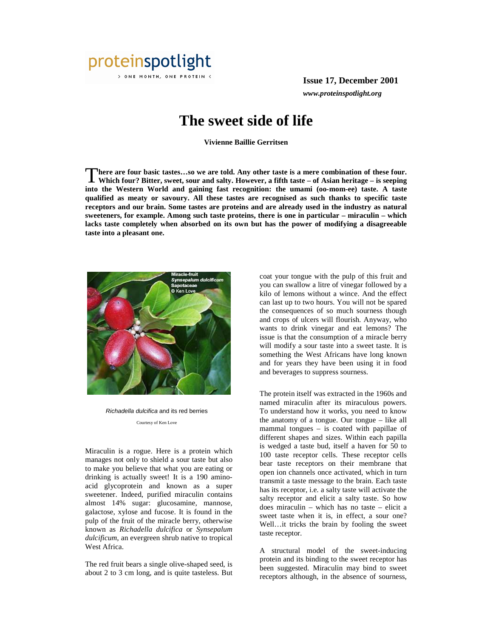

**Issue 17, December 2001** *www.proteinspotlight.org*

## **The sweet side of life**

**Vivienne Baillie Gerritsen** 

**here are four basic tastes…so we are told. Any other taste is a mere combination of these four. Which four? Bitter, sweet, sour and salty. However, a fifth taste – of Asian heritage – is seeping into the Western World and gaining fast recognition: the umami (oo-mom-ee) taste. A taste qualified as meaty or savoury. All these tastes are recognised as such thanks to specific taste receptors and our brain. Some tastes are proteins and are already used in the industry as natural sweeteners, for example. Among such taste proteins, there is one in particular – miraculin – which lacks taste completely when absorbed on its own but has the power of modifying a disagreeable taste into a pleasant one.**  T



Richadella dulcifica and its red berries Courtesy of Ken Love

Miraculin is a rogue. Here is a protein which manages not only to shield a sour taste but also to make you believe that what you are eating or drinking is actually sweet! It is a 190 aminoacid glycoprotein and known as a super sweetener. Indeed, purified miraculin contains almost 14% sugar: glucosamine, mannose, galactose, xylose and fucose. It is found in the pulp of the fruit of the miracle berry, otherwise known as *Richadella dulcifica* or *Synsepalum dulcificum*, an evergreen shrub native to tropical West Africa.

The red fruit bears a single olive-shaped seed, is about 2 to 3 cm long, and is quite tasteless. But coat your tongue with the pulp of this fruit and you can swallow a litre of vinegar followed by a kilo of lemons without a wince. And the effect can last up to two hours. You will not be spared the consequences of so much sourness though and crops of ulcers will flourish. Anyway, who wants to drink vinegar and eat lemons? The issue is that the consumption of a miracle berry will modify a sour taste into a sweet taste. It is something the West Africans have long known and for years they have been using it in food and beverages to suppress sourness.

The protein itself was extracted in the 1960s and named miraculin after its miraculous powers. To understand how it works, you need to know the anatomy of a tongue. Our tongue – like all mammal tongues – is coated with papillae of different shapes and sizes. Within each papilla is wedged a taste bud, itself a haven for 50 to 100 taste receptor cells. These receptor cells bear taste receptors on their membrane that open ion channels once activated, which in turn transmit a taste message to the brain. Each taste has its receptor, i.e. a salty taste will activate the salty receptor and elicit a salty taste. So how does miraculin – which has no taste – elicit a sweet taste when it is, in effect, a sour one? Well…it tricks the brain by fooling the sweet taste receptor.

A structural model of the sweet-inducing protein and its binding to the sweet receptor has been suggested. Miraculin may bind to sweet receptors although, in the absence of sourness,